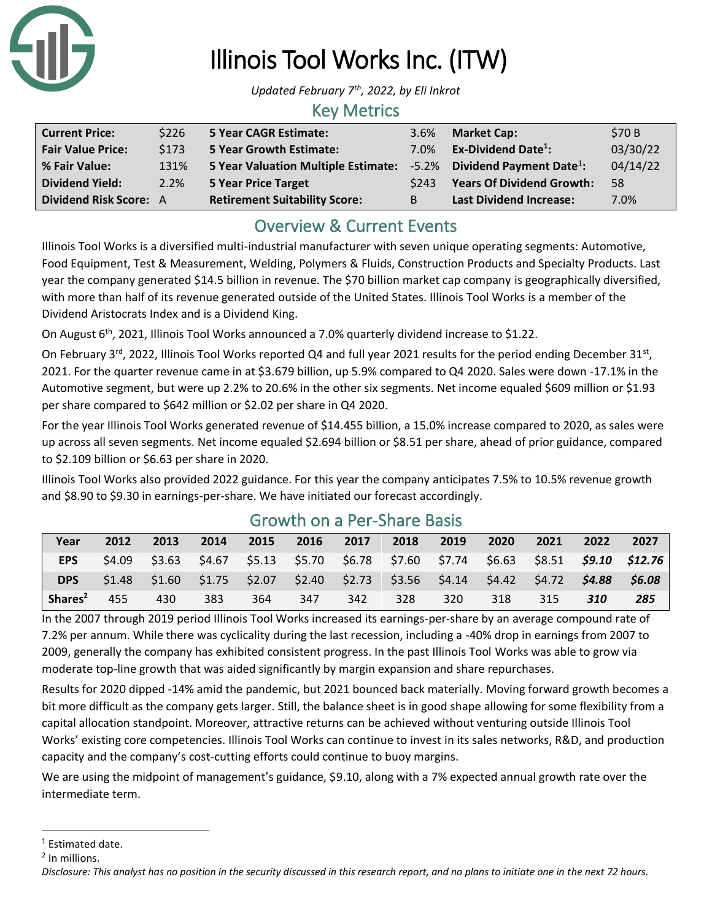

# Illinois Tool Works Inc. (ITW)

*Updated February 7th , 2022, by Eli Inkrot*

#### Key Metrics

| <b>Current Price:</b>    | \$226 | <b>5 Year CAGR Estimate:</b>         | 3.6%  | <b>Market Cap:</b>                            | \$70B    |
|--------------------------|-------|--------------------------------------|-------|-----------------------------------------------|----------|
| <b>Fair Value Price:</b> | \$173 | <b>5 Year Growth Estimate:</b>       | 7.0%  | Ex-Dividend Date $^1$ :                       | 03/30/22 |
| % Fair Value:            | 131%  | 5 Year Valuation Multiple Estimate:  |       | $-5.2\%$ Dividend Payment Date <sup>1</sup> : | 04/14/22 |
| <b>Dividend Yield:</b>   | 2.2%  | <b>5 Year Price Target</b>           | \$243 | <b>Years Of Dividend Growth:</b>              | -58      |
| Dividend Risk Score: A   |       | <b>Retirement Suitability Score:</b> | B     | <b>Last Dividend Increase:</b>                | 7.0%     |

## Overview & Current Events

Illinois Tool Works is a diversified multi-industrial manufacturer with seven unique operating segments: Automotive, Food Equipment, Test & Measurement, Welding, Polymers & Fluids, Construction Products and Specialty Products. Last year the company generated \$14.5 billion in revenue. The \$70 billion market cap company is geographically diversified, with more than half of its revenue generated outside of the United States. Illinois Tool Works is a member of the Dividend Aristocrats Index and is a Dividend King.

On August 6<sup>th</sup>, 2021, Illinois Tool Works announced a 7.0% quarterly dividend increase to \$1.22.

On February 3<sup>rd</sup>, 2022, Illinois Tool Works reported Q4 and full year 2021 results for the period ending December 31<sup>st</sup>, 2021. For the quarter revenue came in at \$3.679 billion, up 5.9% compared to Q4 2020. Sales were down -17.1% in the Automotive segment, but were up 2.2% to 20.6% in the other six segments. Net income equaled \$609 million or \$1.93 per share compared to \$642 million or \$2.02 per share in Q4 2020.

For the year Illinois Tool Works generated revenue of \$14.455 billion, a 15.0% increase compared to 2020, as sales were up across all seven segments. Net income equaled \$2.694 billion or \$8.51 per share, ahead of prior guidance, compared to \$2.109 billion or \$6.63 per share in 2020.

Illinois Tool Works also provided 2022 guidance. For this year the company anticipates 7.5% to 10.5% revenue growth and \$8.90 to \$9.30 in earnings-per-share. We have initiated our forecast accordingly.

| Year                | 2012   | 2013   | 2014 | 2015 | 2016 | 2017 | 2018 | 2019 | 2020                                                                            | 2021 | 2022 | 2027   |
|---------------------|--------|--------|------|------|------|------|------|------|---------------------------------------------------------------------------------|------|------|--------|
| <b>EPS</b>          | \$4.09 | \$3.63 |      |      |      |      |      |      | \$4.67 \$5.13 \$5.70 \$6.78 \$7.60 \$7.74 \$6.63 \$8.51 <b>\$9.10 \$12.76</b>   |      |      |        |
| <b>DPS</b>          | \$1.48 |        |      |      |      |      |      |      | $$1.60$ $$1.75$ $$2.07$ $$2.40$ $$2.73$ $$3.56$ $$4.14$ $$4.42$ $$4.72$ $$4.88$ |      |      | \$6.08 |
| Shares <sup>2</sup> | 455    | 430    | 383  | 364  | 347  | 342  | 328  | 320  | 318                                                                             | 315  | 310  | 285    |

### Growth on a Per-Share Basis

In the 2007 through 2019 period Illinois Tool Works increased its earnings-per-share by an average compound rate of 7.2% per annum. While there was cyclicality during the last recession, including a -40% drop in earnings from 2007 to 2009, generally the company has exhibited consistent progress. In the past Illinois Tool Works was able to grow via moderate top-line growth that was aided significantly by margin expansion and share repurchases.

Results for 2020 dipped -14% amid the pandemic, but 2021 bounced back materially. Moving forward growth becomes a bit more difficult as the company gets larger. Still, the balance sheet is in good shape allowing for some flexibility from a capital allocation standpoint. Moreover, attractive returns can be achieved without venturing outside Illinois Tool Works' existing core competencies. Illinois Tool Works can continue to invest in its sales networks, R&D, and production capacity and the company's cost-cutting efforts could continue to buoy margins.

We are using the midpoint of management's guidance, \$9.10, along with a 7% expected annual growth rate over the intermediate term.

<sup>&</sup>lt;sup>1</sup> Estimated date.

<sup>&</sup>lt;sup>2</sup> In millions.

*Disclosure: This analyst has no position in the security discussed in this research report, and no plans to initiate one in the next 72 hours.*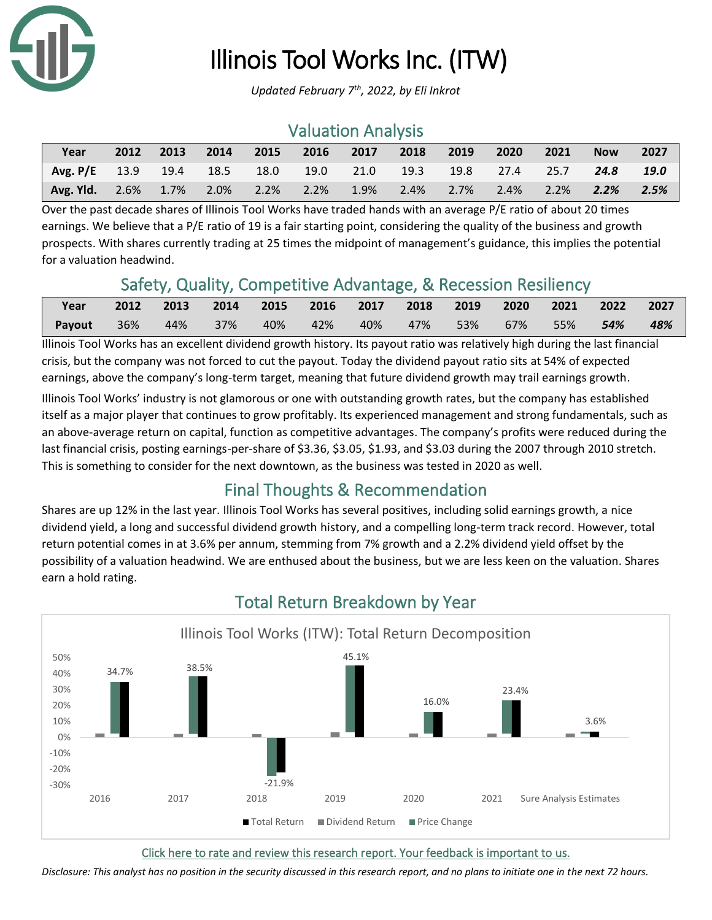

# Illinois Tool Works Inc. (ITW)

*Updated February 7th , 2022, by Eli Inkrot*

### Valuation Analysis

| Year                                                             | 2012 | 2013 | 2014 2015 2016 2017 2018 2019 |  |  | 2020 | 2021 | <b>Now</b> | 2027 |
|------------------------------------------------------------------|------|------|-------------------------------|--|--|------|------|------------|------|
| Avg. P/E 13.9 19.4 18.5 18.0 19.0 21.0 19.3 19.8 27.4 25.7 24.8  |      |      |                               |  |  |      |      |            | 19.0 |
| Avg. Yld. 2.6% 1.7% 2.0% 2.2% 2.2% 1.9% 2.4% 2.7% 2.4% 2.2% 2.2% |      |      |                               |  |  |      |      |            | 2.5% |

Over the past decade shares of Illinois Tool Works have traded hands with an average P/E ratio of about 20 times earnings. We believe that a P/E ratio of 19 is a fair starting point, considering the quality of the business and growth prospects. With shares currently trading at 25 times the midpoint of management's guidance, this implies the potential for a valuation headwind.

## Safety, Quality, Competitive Advantage, & Recession Resiliency

| Year   | 2012 2013 2014 2015 2016 2017 2018 2019 2020 2021 2022 2027 |  |          |                                    |  |  |     |
|--------|-------------------------------------------------------------|--|----------|------------------------------------|--|--|-----|
| Payout | 36% 44% 37%                                                 |  | 40%  42% | 40%  47%  53%  67%  55% <b>54%</b> |  |  | 48% |

Illinois Tool Works has an excellent dividend growth history. Its payout ratio was relatively high during the last financial crisis, but the company was not forced to cut the payout. Today the dividend payout ratio sits at 54% of expected earnings, above the company's long-term target, meaning that future dividend growth may trail earnings growth.

Illinois Tool Works' industry is not glamorous or one with outstanding growth rates, but the company has established itself as a major player that continues to grow profitably. Its experienced management and strong fundamentals, such as an above-average return on capital, function as competitive advantages. The company's profits were reduced during the last financial crisis, posting earnings-per-share of \$3.36, \$3.05, \$1.93, and \$3.03 during the 2007 through 2010 stretch. This is something to consider for the next downtown, as the business was tested in 2020 as well.

## Final Thoughts & Recommendation

Shares are up 12% in the last year. Illinois Tool Works has several positives, including solid earnings growth, a nice dividend yield, a long and successful dividend growth history, and a compelling long-term track record. However, total return potential comes in at 3.6% per annum, stemming from 7% growth and a 2.2% dividend yield offset by the possibility of a valuation headwind. We are enthused about the business, but we are less keen on the valuation. Shares earn a hold rating.



## Total Return Breakdown by Year

[Click here to rate and review this research report. Your feedback is important to us.](https://suredividend.typeform.com/to/S0SIkB)

*Disclosure: This analyst has no position in the security discussed in this research report, and no plans to initiate one in the next 72 hours.*